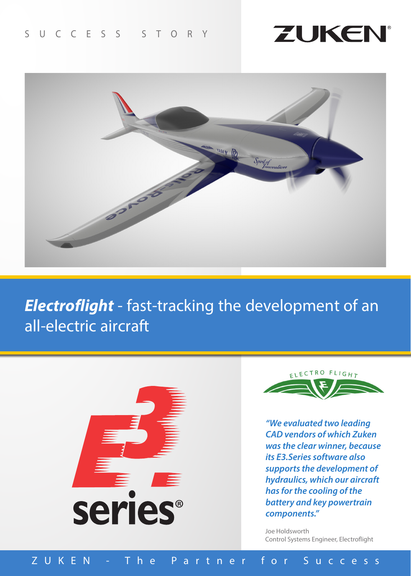



*Electroflight* - fast-tracking the development of an all-electric aircraft





*"We evaluated two leading CAD vendors of which Zuken was the clear winner, because its E3.Series software also supports the development of hydraulics, which our aircraft has for the cooling of the battery and key powertrain components."*

Joe Holdsworth Control Systems Engineer, Electroflight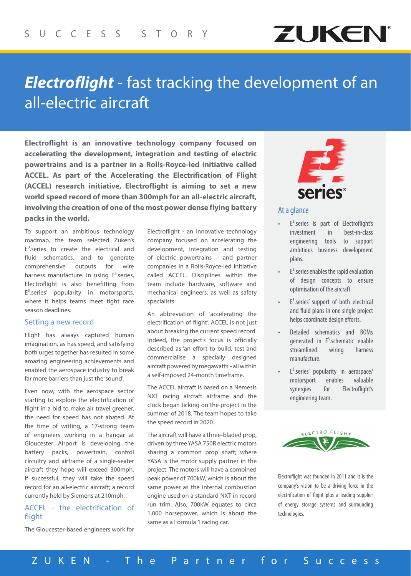

# *Electroflight* - fast tracking the development of an all-electric aircraft

**Electroflight is an innovative technology company focused on accelerating the development, integration and testing of electric powertrains and is a partner in a Rolls-Royce-led initiative called ACCEL. As part of the Accelerating the Electrification of Flight (ACCEL) research initiative, Electroflight is aiming to set a new world speed record of more than 300mph for an all-electric aircraft, involving the creation of one of the most power dense flying battery packs in the world.**

To support an ambitious technology roadmap, the team selected Zuken's  $E<sup>3</sup>$  series to create the electrical and fluid schematics, and to generate comprehensive outputs for wire harness manufacture. In using  $E^3$  series, Electroflight is also benefitting from  $E<sup>3</sup>$ .series' popularity in motorsports, where it helps teams meet tight race season deadlines.

#### Setting a new record

Flight has always captured human imagination, as has speed, and satisfying both urges together has resulted in some amazing engineering achievements and enabled the aerospace industry to break far more barriers than just the 'sound'.

Even now, with the aerospace sector starting to explore the electrification of flight in a bid to make air travel greener, the need for speed has not abated. At the time of writing, a 17-strong team of engineers working in a hangar at Gloucester Airport is developing the battery packs, powertrain, control circuitry and airframe of a single-seater aircraft they hope will exceed 300mph. If successful, they will take the speed record for an all-electric aircraft; a record currently held by Siemens at 210mph.

## ACCEL - the electrification of flight

The Gloucester-based engineers work for

Electroflight - an innovative technology company focused on accelerating the development, integration and testing of electric powertrains – and partner companies in a Rolls-Royce-led initiative called ACCEL. Disciplines within the team include hardware, software and mechanical engineers, as well as safety specialists.

An abbreviation of 'accelerating the electrification of flight', ACCEL is not just about breaking the current speed record. Indeed, the project's focus is officially described as 'an effort to build, test and commercialise a specially designed aircraft powered by megawatts' - all within a self-imposed 24-month timeframe.

The ACCEL aircraft is based on a Nemesis NXT racing aircraft airframe and the clock began ticking on the project in the summer of 2018. The team hopes to take the speed record in 2020.

The aircraft will have a three-bladed prop, driven by three YASA 750R electric motors sharing a common prop shaft; where YASA is the motor supply partner in the project. The motors will have a combined peak power of 700kW, which is about the same power as the internal combustion engine used on a standard NXT in record run trim. Also, 700kW equates to circa 1,000 horsepower, which is about the same as a Formula 1 racing car.



## At a glance

- E<sup>3</sup>.series is part of Electroflight's investment in best-in-class engineering tools to support ambitious business development plans.
- $E<sup>3</sup>$  series enables the rapid evaluation of design concepts to ensure optimisation of the aircraft.
- $E<sup>3</sup>$  series' support of both electrical and fluid plans in one single project helps coordinate design efforts.
- Detailed schematics and BOMs generated in  $E^3$ .schematic enable streamlined wiring harness manufacture.
- $E<sup>3</sup>$  series' popularity in aerospace/ motorsport enables valuable synergies for Electroflight's engineering team.



Electroflight was founded in 2011 and it is the company's vision to be a driving force in the electrification of flight plus a leading supplier of energy storage systems and surrounding technologies.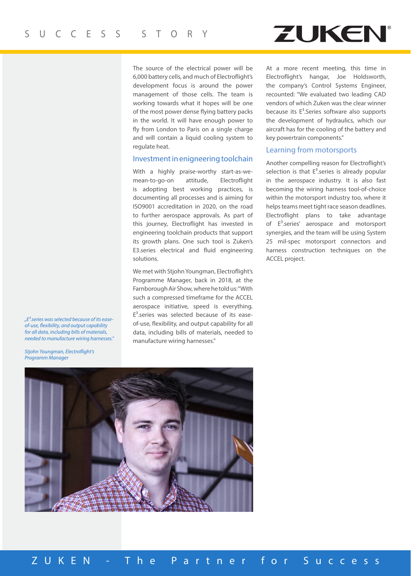### The source of the electrical power will be 6,000 battery cells, and much of Electroflight's development focus is around the power management of those cells. The team is working towards what it hopes will be one of the most power dense flying battery packs in the world. It will have enough power to fly from London to Paris on a single charge and will contain a liquid cooling system to regulate heat.

#### Investment in enigneering toolchain

With a highly praise-worthy start-as-wemean-to-go-on attitude, Electroflight is adopting best working practices, is documenting all processes and is aiming for ISO9001 accreditation in 2020, on the road to further aerospace approvals. As part of this journey, Electroflight has invested in engineering toolchain products that support its growth plans. One such tool is Zuken's E3.series electrical and fluid engineering solutions.

We met with Stjohn Youngman, Electroflight's Programme Manager, back in 2018, at the Farnborough Air Show, where he told us: "With such a compressed timeframe for the ACCEL aerospace initiative, speed is everything.  $E<sup>3</sup>$  series was selected because of its easeof-use, flexibility, and output capability for all data, including bills of materials, needed to manufacture wiring harnesses."

At a more recent meeting, this time in Electroflight's hangar, Joe Holdsworth, the company's Control Systems Engineer, recounted: "We evaluated two leading CAD vendors of which Zuken was the clear winner because its  $E<sup>3</sup>$ . Series software also supports the development of hydraulics, which our aircraft has for the cooling of the battery and key powertrain components."

**ZUKEN** 

#### Learning from motorsports

Another compelling reason for Electroflight's selection is that  $E^3$  series is already popular in the aerospace industry. It is also fast becoming the wiring harness tool-of-choice within the motorsport industry too, where it helps teams meet tight race season deadlines. Electroflight plans to take advantage of  $E<sup>3</sup>$ .series' aerospace and motorsport synergies, and the team will be using System 25 mil-spec motorsport connectors and harness construction techniques on the ACCEL project.

*"E3.series was selected because of its easeof-use, flexibility, and output capability for all data, including bills of materials, needed to manufacture wiring harnesses."* 

*Stjohn Youngman, Electroflight's Programm Manager*



ZUKEN - The Partner for Success